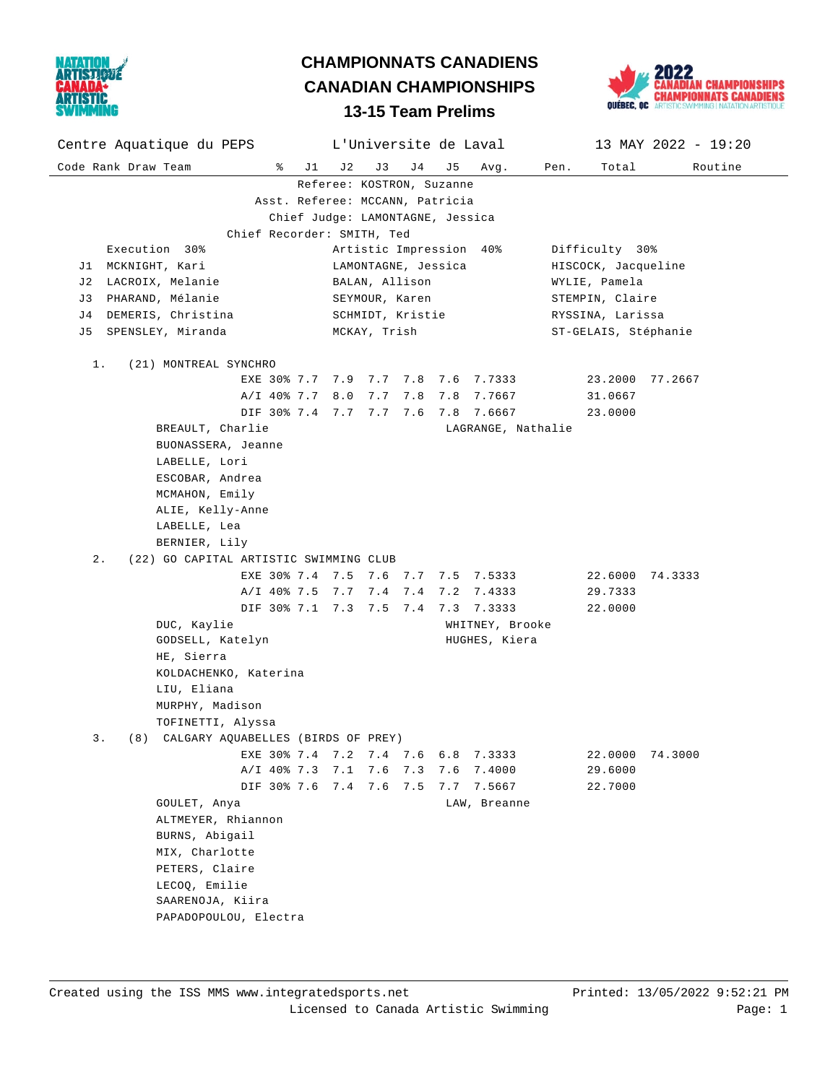

Code Rank Draw Team % J1 J2 J3 J4 J5 Avg. Pen. Total Routine Centre Aquatique du PEPS L'Universite de Laval 13 MAY 2022 - 19:20

Referee: KOSTRON, Suzanne



#### Asst. Referee: MCCANN, Patricia Chief Judge: LAMONTAGNE, Jessica Chief Recorder: SMITH, Ted Execution 30% Artistic Impression 40% Difficulty 30% J1 MCKNIGHT, Kari LAMONTAGNE, Jessica HISCOCK, Jacqueline J2 LACROIX, Melanie BALAN, Allison WYLIE, Pamela J3 PHARAND, Mélanie SEYMOUR, Karen STEMPIN, Claire J4 DEMERIS, Christina SCHMIDT, Kristie RYSSINA, Larissa J5 SPENSLEY, Miranda MCKAY, Trish ST-GELAIS, Stéphanie 1. (21) MONTREAL SYNCHRO EXE 30% 7.7 7.9 7.7 7.8 7.6 7.7333 23.2000 77.2667 A/I 40% 7.7 8.0 7.7 7.8 7.8 7.7667 31.0667 DIF 30% 7.4 7.7 7.7 7.6 7.8 7.6667 23.0000 BREAULT, Charlie Charlie LAGRANGE, Nathalie BUONASSERA, Jeanne LABELLE, Lori ESCOBAR, Andrea MCMAHON, Emily ALIE, Kelly-Anne LABELLE, Lea BERNIER, Lily 2. (22) GO CAPITAL ARTISTIC SWIMMING CLUB EXE 30% 7.4 7.5 7.6 7.7 7.5 7.5333 22.6000 74.3333 A/I 40% 7.5 7.7 7.4 7.4 7.2 7.4333 29.7333 DIF 30% 7.1 7.3 7.5 7.4 7.3 7.3333 22.0000 DUC, Kaylie **WHITNEY**, Brooke GODSELL, Katelyn **HUGHES**, Kiera HE, Sierra KOLDACHENKO, Katerina LIU, Eliana MURPHY, Madison TOFINETTI, Alyssa 3. (8) CALGARY AQUABELLES (BIRDS OF PREY) EXE 30% 7.4 7.2 7.4 7.6 6.8 7.3333 22.0000 74.3000 A/I 40% 7.3 7.1 7.6 7.3 7.6 7.4000 29.6000 DIF 30% 7.6 7.4 7.6 7.5 7.7 7.5667 22.7000 GOULET, Anya **LAW**, Breanne ALTMEYER, Rhiannon BURNS, Abigail MIX, Charlotte PETERS, Claire LECOQ, Emilie SAARENOJA, Kiira PAPADOPOULOU, Electra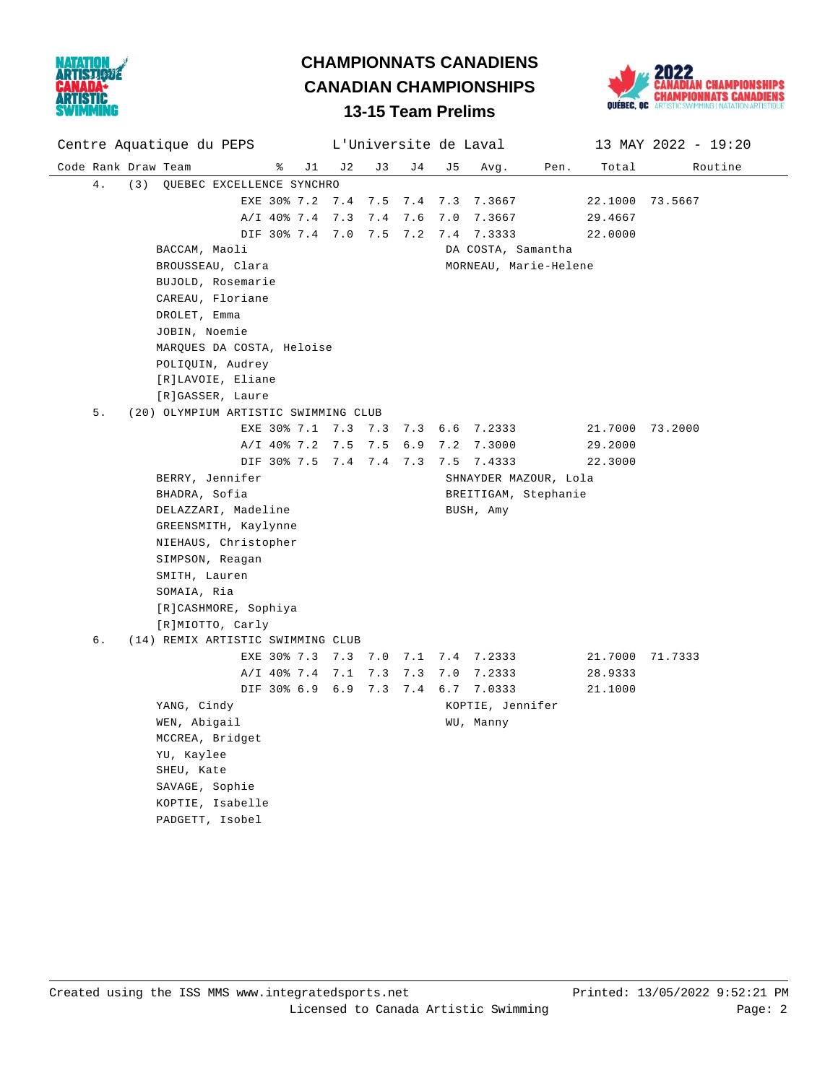



#### Code Rank Draw Team  $\frac{1}{2}$   $\frac{1}{3}$   $\frac{1}{3}$   $\frac{1}{4}$   $\frac{1}{3}$   $\frac{1}{4}$   $\frac{1}{3}$   $\frac{1}{2}$   $\frac{1}{3}$   $\frac{1}{2}$   $\frac{1}{2}$   $\frac{1}{2}$   $\frac{1}{2}$   $\frac{1}{2}$   $\frac{1}{2}$   $\frac{1}{2}$   $\frac{1}{2}$   $\frac{1}{2}$   $\frac{1}{2}$   $\frac{1}{2}$   $\$ Centre Aquatique du PEPS L'Universite de Laval 13 MAY 2022 - 19:20 4. (3) QUEBEC EXCELLENCE SYNCHRO EXE 30% 7.2 7.4 7.5 7.4 7.3 7.3667 22.1000 73.5667 A/I 40% 7.4 7.3 7.4 7.6 7.0 7.3667 29.4667 DIF 30% 7.4 7.0 7.5 7.2 7.4 7.3333 22.0000 BACCAM, Maoli DA COSTA, Samantha BROUSSEAU, Clara MORNEAU, Marie-Helene BUJOLD, Rosemarie CAREAU, Floriane DROLET, Emma JOBIN, Noemie MARQUES DA COSTA, Heloise POLIQUIN, Audrey [R]LAVOIE, Eliane [R]GASSER, Laure 5. (20) OLYMPIUM ARTISTIC SWIMMING CLUB EXE 30% 7.1 7.3 7.3 7.3 6.6 7.2333 21.7000 73.2000 A/I 40% 7.2 7.5 7.5 6.9 7.2 7.3000 29.2000 DIF 30% 7.5 7.4 7.4 7.3 7.5 7.4333 22.3000 BERRY, Jennifer SHNAYDER MAZOUR, Lola BHADRA, Sofia **BREITIGAM**, Stephanie DELAZZARI, Madeline **BUSH, Amy**  GREENSMITH, Kaylynne NIEHAUS, Christopher SIMPSON, Reagan SMITH, Lauren SOMAIA, Ria [R]CASHMORE, Sophiya [R]MIOTTO, Carly 6. (14) REMIX ARTISTIC SWIMMING CLUB EXE 30% 7.3 7.3 7.0 7.1 7.4 7.2333 21.7000 71.7333 A/I 40% 7.4 7.1 7.3 7.3 7.0 7.2333 28.9333 DIF 30% 6.9 6.9 7.3 7.4 6.7 7.0333 21.1000 YANG, Cindy **KOPTIE**, Jennifer WEN, Abigail **WEN**, Manny MCCREA, Bridget YU, Kaylee SHEU, Kate SAVAGE, Sophie KOPTIE, Isabelle PADGETT, Isobel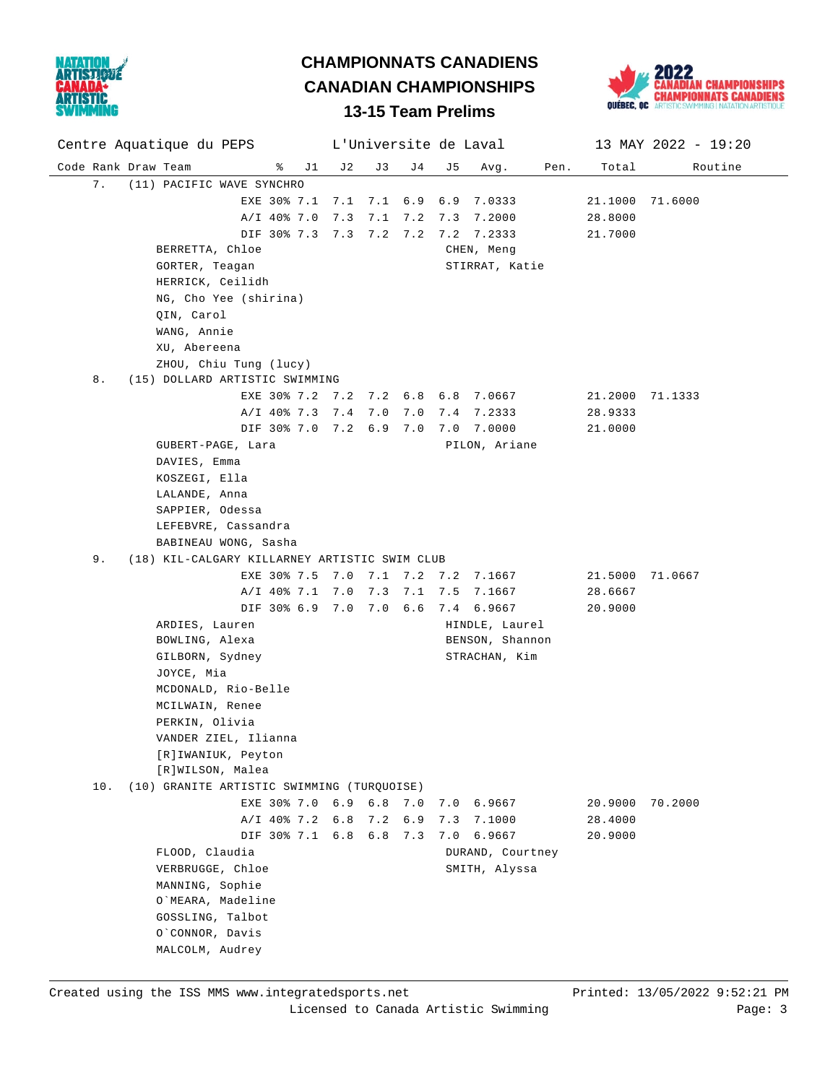



Code Rank Draw Team % J1 J2 J3 J4 J5 Avg. Pen. Total Routine Centre Aquatique du PEPS L'Universite de Laval 13 MAY 2022 - 19:20 7. (11) PACIFIC WAVE SYNCHRO EXE 30% 7.1 7.1 7.1 6.9 6.9 7.0333 21.1000 71.6000 A/I 40% 7.0 7.3 7.1 7.2 7.3 7.2000 28.8000 DIF 30% 7.3 7.3 7.2 7.2 7.2 7.2333 21.7000 BERRETTA, Chloe CHEN, Meng GORTER, Teagan STIRRAT, Katie HERRICK, Ceilidh NG, Cho Yee (shirina) QIN, Carol WANG, Annie XU, Abereena ZHOU, Chiu Tung (lucy) 8. (15) DOLLARD ARTISTIC SWIMMING EXE 30% 7.2 7.2 7.2 6.8 6.8 7.0667 21.2000 71.1333 A/I 40% 7.3 7.4 7.0 7.0 7.4 7.2333 28.9333 DIF 30% 7.0 7.2 6.9 7.0 7.0 7.0000 21.0000 GUBERT-PAGE, Lara PILON, Ariane DAVIES, Emma KOSZEGI, Ella LALANDE, Anna SAPPIER, Odessa LEFEBVRE, Cassandra BABINEAU WONG, Sasha 9. (18) KIL-CALGARY KILLARNEY ARTISTIC SWIM CLUB EXE 30% 7.5 7.0 7.1 7.2 7.2 7.1667 21.5000 71.0667 A/I 40% 7.1 7.0 7.3 7.1 7.5 7.1667 28.6667 DIF 30% 6.9 7.0 7.0 6.6 7.4 6.9667 20.9000 ARDIES, Lauren HINDLE, Laurel BOWLING, Alexa BENSON, Shannon GILBORN, Sydney STRACHAN, Kim JOYCE, Mia MCDONALD, Rio-Belle MCILWAIN, Renee PERKIN, Olivia VANDER ZIEL, Ilianna [R]IWANIUK, Peyton [R]WILSON, Malea 10. (10) GRANITE ARTISTIC SWIMMING (TURQUOISE) EXE 30% 7.0 6.9 6.8 7.0 7.0 6.9667 20.9000 70.2000 A/I 40% 7.2 6.8 7.2 6.9 7.3 7.1000 28.4000 DIF 30% 7.1 6.8 6.8 7.3 7.0 6.9667 20.9000 FLOOD, Claudia and Courtney and Courtney VERBRUGGE, Chloe SMITH, Alyssa MANNING, Sophie O`MEARA, Madeline GOSSLING, Talbot O`CONNOR, Davis MALCOLM, Audrey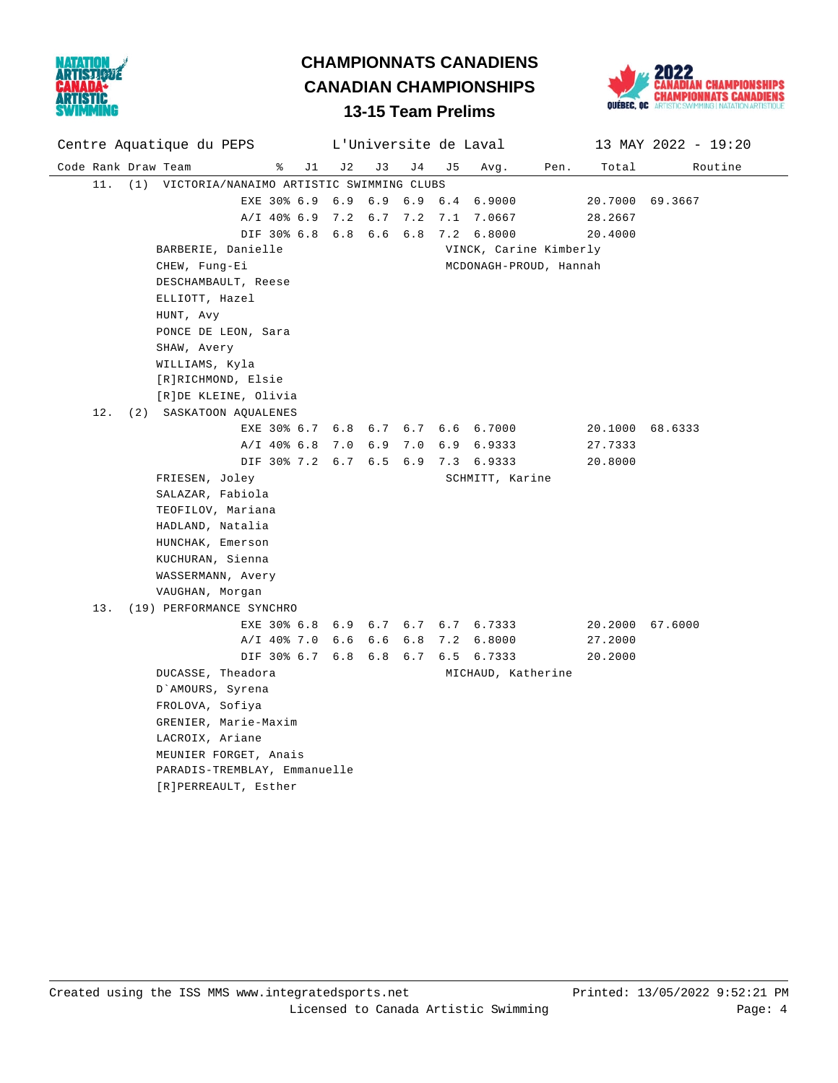



#### Code Rank Draw Team % J1 J2 J3 J4 J5 Avg. Pen. Total Routine Centre Aquatique du PEPS L'Universite de Laval 13 MAY 2022 - 19:20 11. (1) VICTORIA/NANAIMO ARTISTIC SWIMMING CLUBS EXE 30% 6.9 6.9 6.9 6.9 6.4 6.9000 20.7000 69.3667 A/I 40% 6.9 7.2 6.7 7.2 7.1 7.0667 28.2667 DIF 30% 6.8 6.8 6.6 6.8 7.2 6.8000 20.4000 BARBERIE, Danielle VINCK, Carine Kimberly CHEW, Fung-Ei MCDONAGH-PROUD, Hannah DESCHAMBAULT, Reese ELLIOTT, Hazel HUNT, Avy PONCE DE LEON, Sara SHAW, Avery WILLIAMS, Kyla [R]RICHMOND, Elsie [R]DE KLEINE, Olivia 12. (2) SASKATOON AQUALENES EXE 30% 6.7 6.8 6.7 6.7 6.6 6.7000 20.1000 68.6333 A/I 40% 6.8 7.0 6.9 7.0 6.9 6.9333 27.7333 DIF 30% 7.2 6.7 6.5 6.9 7.3 6.9333 20.8000 FRIESEN, Joley **SCHMITT**, Karine SALAZAR, Fabiola TEOFILOV, Mariana HADLAND, Natalia HUNCHAK, Emerson KUCHURAN, Sienna WASSERMANN, Avery VAUGHAN, Morgan 13. (19) PERFORMANCE SYNCHRO EXE 30% 6.8 6.9 6.7 6.7 6.7 6.7333 20.2000 67.6000 A/I 40% 7.0 6.6 6.6 6.8 7.2 6.8000 27.2000 DIF 30% 6.7 6.8 6.8 6.7 6.5 6.7333 20.2000 DUCASSE, Theadora **MICHAUD**, Katherine D`AMOURS, Syrena FROLOVA, Sofiya GRENIER, Marie-Maxim LACROIX, Ariane MEUNIER FORGET, Anais PARADIS-TREMBLAY, Emmanuelle [R]PERREAULT, Esther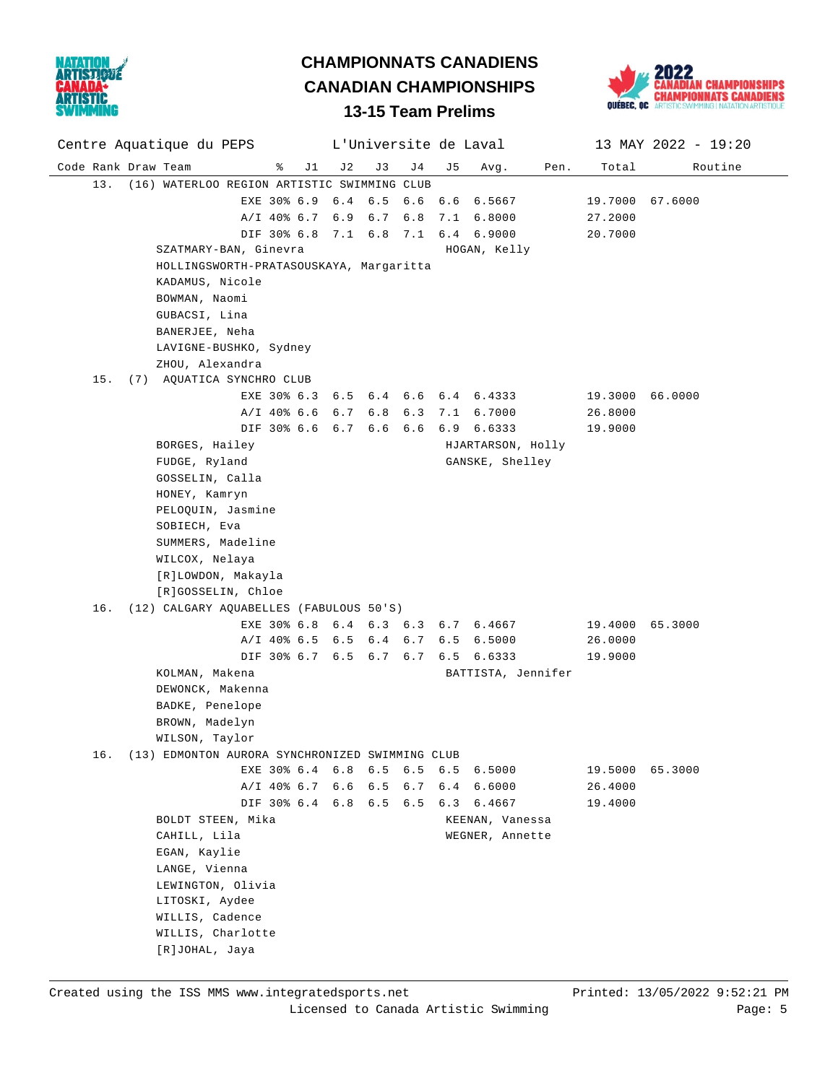

# **CHAMPIONNATS CANADIENS CANADIAN CHAMPIONSHIPS**



### **13-15 Team Prelims**

| Centre Aquatique du PEPS                               |    |         |             |    | L'Universite de Laval |      |                 | 13 MAY 2022 - 19:20 |
|--------------------------------------------------------|----|---------|-------------|----|-----------------------|------|-----------------|---------------------|
| Code Rank Draw Team<br>ႜ<br>J 1                        | J2 | J3      | J 4         | J5 | Avg.                  | Pen. | Total           | Routine             |
| 13. (16) WATERLOO REGION ARTISTIC SWIMMING CLUB        |    |         |             |    |                       |      |                 |                     |
| EXE 30% 6.9 6.4 6.5 6.6 6.6 6.5667                     |    |         |             |    |                       |      | 19.7000 67.6000 |                     |
| A/I 40% 6.7 6.9 6.7 6.8                                |    |         |             |    | 7.1 6.8000            |      | 27.2000         |                     |
| DIF 30% 6.8 7.1 6.8 7.1 6.4 6.9000                     |    |         |             |    |                       |      | 20.7000         |                     |
| SZATMARY-BAN, Ginevra                                  |    |         |             |    | HOGAN, Kelly          |      |                 |                     |
| HOLLINGSWORTH-PRATASOUSKAYA, Margaritta                |    |         |             |    |                       |      |                 |                     |
| KADAMUS, Nicole                                        |    |         |             |    |                       |      |                 |                     |
| BOWMAN, Naomi                                          |    |         |             |    |                       |      |                 |                     |
| GUBACSI, Lina                                          |    |         |             |    |                       |      |                 |                     |
| BANERJEE, Neha                                         |    |         |             |    |                       |      |                 |                     |
| LAVIGNE-BUSHKO, Sydney                                 |    |         |             |    |                       |      |                 |                     |
| ZHOU, Alexandra                                        |    |         |             |    |                       |      |                 |                     |
| 15. (7) AQUATICA SYNCHRO CLUB                          |    |         |             |    |                       |      |                 |                     |
| EXE 30% 6.3 6.5 6.4 6.6 6.4 6.4333                     |    |         |             |    |                       |      | 19.3000 66.0000 |                     |
| $A/I$ 40% 6.6 6.7                                      |    |         | $6.8 \t6.3$ |    | 7.1 6.7000            |      | 26.8000         |                     |
| DIF 30% 6.6 6.7 6.6 6.6                                |    |         |             |    | $6.9$ $6.6333$        |      | 19.9000         |                     |
| BORGES, Hailey                                         |    |         |             |    | HJARTARSON, Holly     |      |                 |                     |
| FUDGE, Ryland                                          |    |         |             |    | GANSKE, Shelley       |      |                 |                     |
| GOSSELIN, Calla                                        |    |         |             |    |                       |      |                 |                     |
| HONEY, Kamryn                                          |    |         |             |    |                       |      |                 |                     |
| PELOQUIN, Jasmine                                      |    |         |             |    |                       |      |                 |                     |
| SOBIECH, Eva                                           |    |         |             |    |                       |      |                 |                     |
| SUMMERS, Madeline                                      |    |         |             |    |                       |      |                 |                     |
| WILCOX, Nelaya                                         |    |         |             |    |                       |      |                 |                     |
| [R]LOWDON, Makayla                                     |    |         |             |    |                       |      |                 |                     |
| [R]GOSSELIN, Chloe                                     |    |         |             |    |                       |      |                 |                     |
| (12) CALGARY AQUABELLES (FABULOUS 50'S)<br>16.         |    |         |             |    |                       |      |                 |                     |
| EXE 30% 6.8 6.4                                        |    |         | $6.3 \t6.3$ |    | 6.7 6.4667            |      | 19.4000 65.3000 |                     |
| $A/I$ 40% 6.5 6.5                                      |    | 6.4 6.7 |             |    | $6.5 \quad 6.5000$    |      | 26.0000         |                     |
| DIF 30% 6.7 6.5 6.7 6.7                                |    |         |             |    | 6.5 6.6333            |      | 19.9000         |                     |
| KOLMAN, Makena                                         |    |         |             |    | BATTISTA, Jennifer    |      |                 |                     |
| DEWONCK, Makenna                                       |    |         |             |    |                       |      |                 |                     |
| BADKE, Penelope                                        |    |         |             |    |                       |      |                 |                     |
| BROWN, Madelyn                                         |    |         |             |    |                       |      |                 |                     |
| WILSON, Taylor                                         |    |         |             |    |                       |      |                 |                     |
| (13) EDMONTON AURORA SYNCHRONIZED SWIMMING CLUB<br>16. |    |         |             |    |                       |      |                 |                     |
| EXE 30% 6.4 6.8                                        |    | 6.5     |             |    | 6.5 6.5 6.5000        |      | 19.5000         | 65.3000             |
| $A/I$ 40% 6.7 6.6                                      |    |         | $6.5 \t6.7$ |    | 6.4 6.6000            |      | 26.4000         |                     |
| DIF 30% 6.4 6.8 6.5 6.5                                |    |         |             |    | 6.3 6.4667            |      | 19.4000         |                     |
| BOLDT STEEN, Mika                                      |    |         |             |    | KEENAN, Vanessa       |      |                 |                     |
| CAHILL, Lila                                           |    |         |             |    | WEGNER, Annette       |      |                 |                     |
| EGAN, Kaylie                                           |    |         |             |    |                       |      |                 |                     |
| LANGE, Vienna                                          |    |         |             |    |                       |      |                 |                     |
| LEWINGTON, Olivia                                      |    |         |             |    |                       |      |                 |                     |
| LITOSKI, Aydee                                         |    |         |             |    |                       |      |                 |                     |
| WILLIS, Cadence                                        |    |         |             |    |                       |      |                 |                     |
| WILLIS, Charlotte                                      |    |         |             |    |                       |      |                 |                     |
| [R]JOHAL, Jaya                                         |    |         |             |    |                       |      |                 |                     |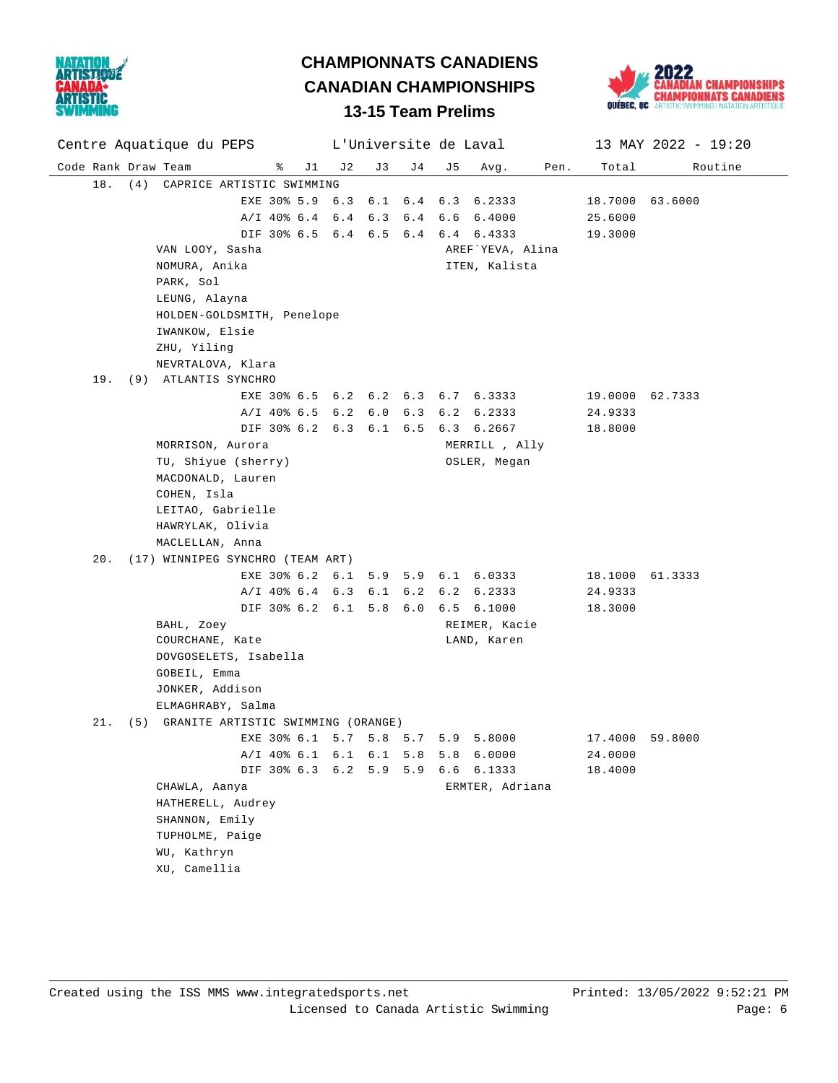



#### Code Rank Draw Team % J1 J2 J3 J4 J5 Avg. Pen. Total Routine Centre Aquatique du PEPS L'Universite de Laval 13 MAY 2022 - 19:20 18. (4) CAPRICE ARTISTIC SWIMMING EXE 30% 5.9 6.3 6.1 6.4 6.3 6.2333 18.7000 63.6000 A/I 40% 6.4 6.4 6.3 6.4 6.6 6.4000 25.6000 DIF 30% 6.5 6.4 6.5 6.4 6.4 6.4333 19.3000 VAN LOOY, Sasha AREF`YEVA, Alina NOMURA, Anika **ITEN, Kalista**  PARK, Sol LEUNG, Alayna HOLDEN-GOLDSMITH, Penelope IWANKOW, Elsie ZHU, Yiling NEVRTALOVA, Klara 19. (9) ATLANTIS SYNCHRO EXE 30% 6.5 6.2 6.2 6.3 6.7 6.3333 19.0000 62.7333 A/I 40% 6.5 6.2 6.0 6.3 6.2 6.2333 24.9333 DIF 30% 6.2 6.3 6.1 6.5 6.3 6.2667 18.8000 MORRISON, Aurora **MERRILL**, Ally TU, Shiyue (sherry) **OSLER**, Megan MACDONALD, Lauren COHEN, Isla LEITAO, Gabrielle HAWRYLAK, Olivia MACLELLAN, Anna 20. (17) WINNIPEG SYNCHRO (TEAM ART) EXE 30% 6.2 6.1 5.9 5.9 6.1 6.0333 18.1000 61.3333 A/I 40% 6.4 6.3 6.1 6.2 6.2 6.2333 24.9333 DIF 30% 6.2 6.1 5.8 6.0 6.5 6.1000 18.3000 BAHL, Zoey **REIMER**, Kacie COURCHANE, Kate LAND, Karen DOVGOSELETS, Isabella GOBEIL, Emma JONKER, Addison ELMAGHRABY, Salma 21. (5) GRANITE ARTISTIC SWIMMING (ORANGE) EXE 30% 6.1 5.7 5.8 5.7 5.9 5.8000 17.4000 59.8000 A/I 40% 6.1 6.1 6.1 5.8 5.8 6.0000 24.0000 DIF 30% 6.3 6.2 5.9 5.9 6.6 6.1333 18.4000 CHAWLA, Aanya **ERMTER**, Adriana HATHERELL, Audrey SHANNON, Emily TUPHOLME, Paige WU, Kathryn XU, Camellia